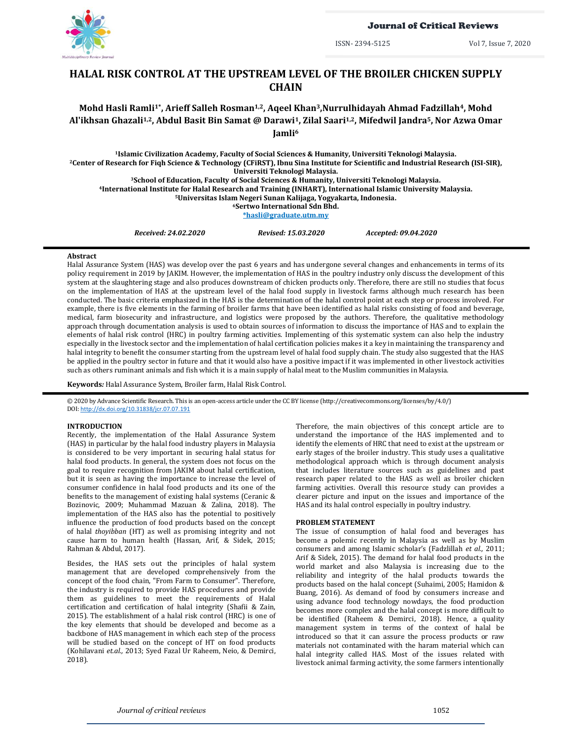

# Journal of Critical Reviews

ISSN- 2394-5125 Vol 7, Issue 7, 2020

# **HALAL RISK CONTROL AT THE UPSTREAM LEVEL OF THE BROILER CHICKEN SUPPLY CHAIN**

# **Mohd Hasli Ramli1\* , Arieff Salleh Rosman1,2, Aqeel Khan3,Nurrulhidayah Ahmad Fadzillah4, Mohd Al'ikhsan Ghazali1,2, Abdul Basit Bin Samat @ Darawi1, Zilal Saari1,2, Mifedwil Jandra5, Nor Azwa Omar Jamli<sup>6</sup>**

**Islamic Civilization Academy, Faculty of Social Sciences & Humanity, Universiti Teknologi Malaysia. Center of Research for Fiqh Science & Technology (CFiRST), Ibnu Sina Institute for Scientific and Industrial Research (ISI-SIR), Universiti Teknologi Malaysia. School of Education, Faculty of Social Sciences & Humanity, Universiti Teknologi Malaysia.**

**<sup>4</sup>International Institute for Halal Research and Training (INHART), International Islamic University Malaysia.**

**<sup>5</sup>Universitas Islam Negeri Sunan Kalijaga, Yogyakarta, Indonesia.**

**<sup>6</sup>Sertwo International Sdn Bhd.**

**[\\*hasli@graduate.utm.m](mailto:hasli@graduate.utm.)y**

*Received: 24.02.2020 Revised: 15.03.2020 Accepted: 09.04.2020*

# **Abstract**

Halal Assurance System (HAS) was develop over the past 6 years and has undergone several changes and enhancements in terms of its policy requirement in 2019 by JAKIM. However, the implementation of HAS in the poultry industry only discuss the development of this system at the slaughtering stage and also produces downstream of chicken products only. Therefore, there are still no studies that focus on the implementation of HAS at the upstream level of the halal food supply in livestock farms although much research has been conducted. The basic criteria emphasized in the HAS is the determination of the halal control point at each step or process involved. For example, there is five elements in the farming of broiler farms that have been identified as halal risks consisting of food and beverage, medical, farm biosecurity and infrastructure, and logistics were proposed by the authors. Therefore, the qualitative methodology approach through documentation analysis is used to obtain sources of information to discuss the importance of HAS and to explain the elements of halal risk control (HRC) in poultry farming activities. Implementing of this systematic system can also help the industry especially in the livestock sector and the implementation of halal certification policies makes it a key in maintaining the transparency and halal integrity to benefit the consumer starting from the upstream level of halal food supply chain. The study also suggested that the HAS be applied in the poultry sector in future and that it would also have a positive impact if it was implemented in other livestock activities such as others ruminant animals and fish which it is a main supply of halal meat to the Muslim communities in Malaysia.

**Keywords***:* Halal Assurance System, Broiler farm, Halal Risk Control.

© 2020 by Advance Scientific Research. This is an open-access article under the CC BY license [\(http://creativecommons.org/licenses/by/4.0/\)](http://creativecommons.org/licenses/by/4.0/) DOI: <http://dx.doi.org/10.31838/jcr.07.07.191>

# **INTRODUCTION**

Recently, the implementation of the Halal Assurance System (HAS) in particular by the halal food industry players in Malaysia is considered to be very important in securing halal status for halal food products. In general, the system does not focus on the goal to require recognition from JAKIM about halal certification, but it is seen as having the importance to increase the level of consumer confidence in halal food products and its one of the benefits to the management of existing halal systems (Ceranic & Bozinovic, 2009; Muhammad Mazuan & Zalina, 2018). The implementation of the HAS also has the potential to positively influence the production of food products based on the concept of halal *thoyibban* (HT) as well as promising integrity and not cause harm to human health (Hassan, Arif, & Sidek, 2015; Rahman & Abdul, 2017).

Besides, the HAS sets out the principles of halal system management that are developed comprehensively from the concept of the food chain, "From Farm to Consumer". Therefore, the industry is required to provide HAS procedures and provide them as guidelines to meet the requirements of Halal certification and certification of halal integrity (Shafii & Zain, 2015). The establishment of a halal risk control (HRC) is one of the key elements that should be developed and become as a backbone of HAS management in which each step of the process will be studied based on the concept of HT on food products (Kohilavani *et.al.,* 2013; Syed Fazal Ur Raheem, Neio, & Demirci, 2018).

Therefore, the main objectives of this concept article are to understand the importance of the HAS implemented and to identify the elements of HRC that need to exist at the upstream or early stages of the broiler industry. This study uses a qualitative methodological approach which is through document analysis that includes literature sources such as guidelines and past research paper related to the HAS as well as broiler chicken farming activities. Overall this resource study can provides a clearer picture and input on the issues and importance of the HAS and its halal control especially in poultry industry.

# **PROBLEM STATEMENT**

The issue of consumption of halal food and beverages has become a polemic recently in Malaysia as well as by Muslim consumers and among Islamic scholar's (Fadzlillah *et al.,* 2011; Arif & Sidek, 2015). The demand for halal food products in the world market and also Malaysia is increasing due to the reliability and integrity of the halal products towards the products based on the halal concept (Suhaimi, 2005; Hamidon & Buang, 2016). As demand of food by consumers increase and using advance food technology nowdays, the food production becomes more complex and the halal concept is more difficult to be identified (Raheem & Demirci, 2018). Hence, a quality management system in terms of the context of halal be introduced so that it can assure the process products or raw materials not contaminated with the haram material which can halal integrity called HAS. Most of the issues related with livestock animal farming activity, the some farmers intentionally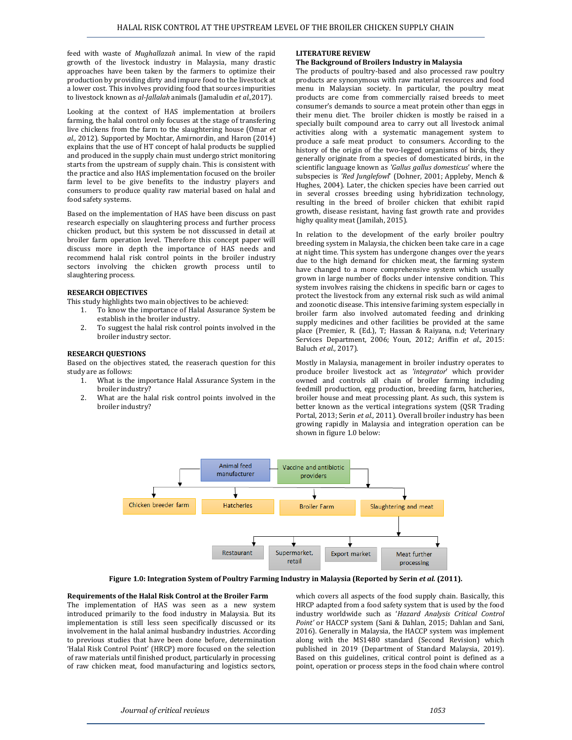feed with waste of *Mughallazah* animal. In view of the rapid growth of the livestock industry in Malaysia, many drastic approaches have been taken by the farmers to optimize their production by providing dirty and impure food to the livestock at a lower cost. This involves providing food that sources impurities to livestock known as *al-Jallalah* animals (Jamaludin *et al.,*2017).

Looking at the context of HAS implementation at broilers farming, the halal control only focuses at the stage of transfering live chickens from the farm to the slaughtering house (Omar *et al.,* 2012). Supported by Mochtar, Amirnordin, and Haron (2014) explains that the use of HT concept of halal products be supplied and produced in the supply chain must undergo strict monitoring starts from the upstream of supply chain. This is consistent with the practice and also HAS implementation focused on the broiler farm level to be give benefits to the industry players and consumers to produce quality raw material based on halal and food safety systems.

Based on the implementation of HAS have been discuss on past research especially on slaughtering process and further process chicken product, but this system be not disscussed in detail at broiler farm operation level. Therefore this concept paper will discuss more in depth the importance of HAS needs and recommend halal risk control points in the broiler industry sectors involving the chicken growth process until to slaughtering process.

# **RESEARCH OBJECTIVES**

This study highlights two main objectives to be achieved:

- 1. To know the importance of Halal Assurance System be establish in the broiler industry.
- 2. To suggest the halal risk control points involved in the broiler industry sector.

#### **RESEARCH QUESTIONS**

Based on the objectives stated, the reaserach question for this study are as follows:

- 1. What is the importance Halal Assurance System in the broiler industry?
- 2. What are the halal risk control points involved in the broiler industry?

## **LITERATURE REVIEW**

# **The Background of Broilers Industry in Malaysia**

The products of poultry-based and also processed raw poultry products are synonymous with raw material resources and food menu in Malaysian society. In particular, the poultry meat products are come from commercially raised breeds to meet consumer's demands to source a meat protein other than eggs in their menu diet. The broiler chicken is mostly be raised in a specially built compound area to carry out all livestock animal activities along with a systematic management system to produce a safe meat product to consumers. According to the history of the origin of the two-legged organisms of birds, they generally originate from a species of domesticated birds, in the scientific language known as *'Gallus gallus domesticus*' where the subspecies is *'Red Junglefowl*' (Dohner, 2001; Appleby, Mench & Hughes, 2004). Later, the chicken species have been carried out in several crosses breeding using hybridization technology, resulting in the breed of broiler chicken that exhibit rapid growth, disease resistant, having fast growth rate and provides highy quality meat (Jamilah, 2015).

In relation to the development of the early broiler poultry breeding system in Malaysia, the chicken been take care in a cage at night time. This system has undergone changes over the years due to the high demand for chicken meat, the farming system have changed to a more comprehensive system which usually grown in large number of flocks under intensive condition. This system involves raising the chickens in specific barn or cages to protect the livestock from any external risk such as wild animal and zoonotic disease. This intensive fariming system especially in broiler farm also involved automated feeding and drinking supply medicines and other facilities be provided at the same place (Premier, R. (Ed.), T; Hassan & Raiyana, n.d; Veterinary Services Department, 2006; Youn, 2012; Ariffin *et al.,* 2015: Baluch *et al.,* 2017).

Mostly in Malaysia, management in broiler industry operates to produce broiler livestock act as *'integrator*' which provider owned and controls all chain of broiler farming including feedmill production, egg production, breeding farm, hatcheries, broiler house and meat processing plant. As such, this system is better known as the vertical integrations system (QSR Trading Portal, 2013; Serin *et al.,* 2011). Overall broiler industry has been growing rapidly in Malaysia and integration operation can be shown in figure 1.0 below:



**Figure 1.0: Integration System of Poultry Farming Industry in Malaysia (Reported by Serin** *et al.* **(2011).**

#### **Requirements of the Halal Risk Control at the Broiler Farm**

The implementation of HAS was seen as a new system introduced primarily to the food industry in Malaysia. But its implementation is still less seen specifically discussed or its involvement in the halal animal husbandry industries. According to previous studies that have been done before, determination 'Halal Risk Control Point' (HRCP) more focused on the selection of raw materials until finished product, particularly in processing of raw chicken meat, food manufacturing and logistics sectors,

which covers all aspects of the food supply chain. Basically, this HRCP adapted from a food safety system that is used by the food industry worldwide such as '*Hazard Analysis Critical Control Point'* or HACCP system (Sani & Dahlan, 2015; Dahlan and Sani, 2016). Generally in Malaysia, the HACCP system was implement along with the MS1480 standard (Second Revision) which published in 2019 (Department of Standard Malaysia, 2019). Based on this guidelines, critical control point is defined as a point, operation or process steps in the food chain where control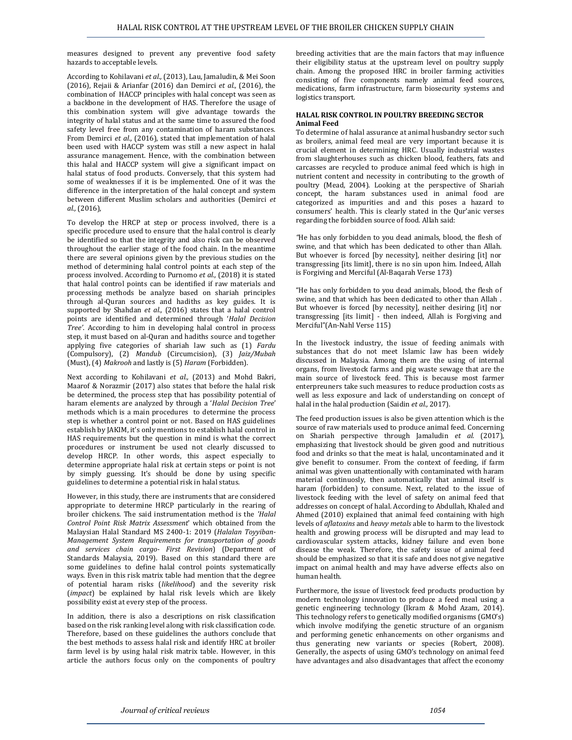measures designed to prevent any preventive food safety hazards to acceptable levels.

According to Kohilavani *et al.,* (2013), Lau, Jamaludin, & Mei Soon (2016), Rejaii & Arianfar (2016) dan Demirci *et al.,* (2016), the combination of HACCP principles with halal concept was seen as a backbone in the development of HAS. Therefore the usage of this combination system will give advantage towards the integrity of halal status and at the same time to assured the food safety level free from any contamination of haram substances. From Demirci *et al.,* (2016), stated that implementation of halal been used with HACCP system was still a new aspect in halal assurance management. Hence, with the combination between this halal and HACCP system will give a significant impact on halal status of food products. Conversely, that this system had some of weaknesses if it is be implemented. One of it was the difference in the interpretation of the halal concept and system between different Muslim scholars and authorities (Demirci *et al.,* (2016),

To develop the HRCP at step or process involved, there is a specific procedure used to ensure that the halal control is clearly be identified so that the integrity and also risk can be observed throughout the earlier stage of the food chain. In the meantime there are several opinions given by the previous studies on the method of determining halal control points at each step of the process involved. According to Purnomo *et al.,* (2018) it is stated that halal control points can be identified if raw materials and processing methods be analyze based on shariah principles through al-Quran sources and hadiths as key guides. It is supported by Shahdan *et al.,* (2016) states that a halal control points are identified and determined through '*Halal Decision Tree'*. According to him in developing halal control in process step, it must based on al-Quran and hadiths source and together applying five categories of shariah law such as (1) *Fardu*  (Compulsory), (2) *Mandub* (Circumcision), (3) *Jaiz/Mubah* (Must), (4) *Makrooh* and lastly is (5) *Haram* (Forbidden).

Next according to Kohilavani *et al.,* (2013) and Mohd Bakri, Maarof & Norazmir (2017) also states that before the halal risk be determined, the process step that has possibility potential of haram elements are analyzed by through a '*Halal Decision Tree*' methods which is a main procedures to determine the process step is whether a control point or not. Based on HAS guidelines establish by JAKIM, it's only mentions to establish halal control in HAS requirements but the question in mind is what the correct procedures or instrument be used not clearly discussed to develop HRCP. In other words, this aspect especially to determine appropriate halal risk at certain steps or point is not by simply guessing. It's should be done by using specific guidelines to determine a potential risk in halal status.

However, in this study, there are instruments that are considered appropriate to determine HRCP particularly in the rearing of broiler chickens. The said instrumentation method is the *'Halal Control Point Risk Matrix Assessment*' which obtained from the Malaysian Halal Standard MS 2400-1: 2019 (*Halalan Toyyiban-Management System Requirements for transportation of goods and services chain cargo- First Revision*) (Department of Standards Malaysia, 2019). Based on this standard there are some guidelines to define halal control points systematically ways. Even in this risk matrix table had mention that the degree of potential haram risks (*likelihood*) and the severity risk (*impact*) be explained by halal risk levels which are likely possibility exist at every step of the process.

In addition, there is also a descriptions on risk classification based on the risk ranking level along with risk classification code. Therefore, based on these guidelines the authors conclude that the best methods to assess halal risk and identify HRC at broiler farm level is by using halal risk matrix table. However, in this article the authors focus only on the components of poultry

breeding activities that are the main factors that may influence their eligibility status at the upstream level on poultry supply chain. Among the proposed HRC in broiler farming activities consisting of five components namely animal feed sources, medications, farm infrastructure, farm biosecurity systems and logistics transport.

# **HALAL RISK CONTROL IN POULTRY BREEDING SECTOR Animal Feed**

To determine of halal assurance at animal husbandry sector such as broilers, animal feed meal are very important because it is crucial element in determining HRC. Usually industrial wastes from slaughterhouses such as chicken blood, feathers, fats and carcasses are recycled to produce animal feed which is high in nutrient content and necessity in contributing to the growth of poultry (Mead, 2004). Looking at the perspective of Shariah concept, the haram substances used in animal food are categorized as impurities and and this poses a hazard to consumers' health. This is clearly stated in the Qur'anic verses regarding the forbidden source of food. Allah said:

*"*He has only forbidden to you dead animals, blood, the flesh of swine, and that which has been dedicated to other than Allah. But whoever is forced [by necessity], neither desiring [it] nor transgressing [its limit], there is no sin upon him. Indeed, Allah is Forgiving and Merciful (Al-Baqarah Verse 173)

"He has only forbidden to you dead animals, blood, the flesh of swine, and that which has been dedicated to other than Allah . But whoever is forced [by necessity], neither desiring [it] nor transgressing [its limit] - then indeed, Allah is Forgiving and Merciful"(An-Nahl Verse 115)

In the livestock industry, the issue of feeding animals with substances that do not meet Islamic law has been widely discussed in Malaysia. Among them are the using of internal organs, from livestock farms and pig waste sewage that are the main source of livestock feed. This is because most farmer enterpreuners take such measures to reduce production costs as well as less exposure and lack of understanding on concept of halal in the halal production (Saidin *et al.,* 2017).

The feed production issues is also be given attention which is the source of raw materials used to produce animal feed. Concerning on Shariah perspective through Jamaludin *et al.* (2017), emphasizing that livestock should be given good and nutritious food and drinks so that the meat is halal, uncontaminated and it give benefit to consumer. From the context of feeding, if farm animal was given unattentionally with contaminated with haram material continuosly, then automatically that animal itself is haram (forbidden) to consume. Next, related to the issue of livestock feeding with the level of safety on animal feed that addresses on concept of halal. According to Abdullah, Khaled and Ahmed (2010) explained that animal feed containing with high levels of *aflatoxins* and *heavy metals* able to harm to the livestock health and growing process will be disrupted and may lead to cardiovascular system attacks, kidney failure and even bone disease the weak. Therefore, the safety issue of animal feed should be emphasized so that it is safe and does not give negative impact on animal health and may have adverse effects also on human health.

Furthermore, the issue of livestock feed products production by modern technology innovation to produce a feed meal using a genetic engineering technology (Ikram & Mohd Azam, 2014). This technology refers to genetically modified organisms (GMO's) which involve modifying the genetic structure of an organism and performing genetic enhancements on other organisms and thus generating new variants or species (Robert, 2008). Generally, the aspects of using GMO's technology on animal feed have advantages and also disadvantages that affect the economy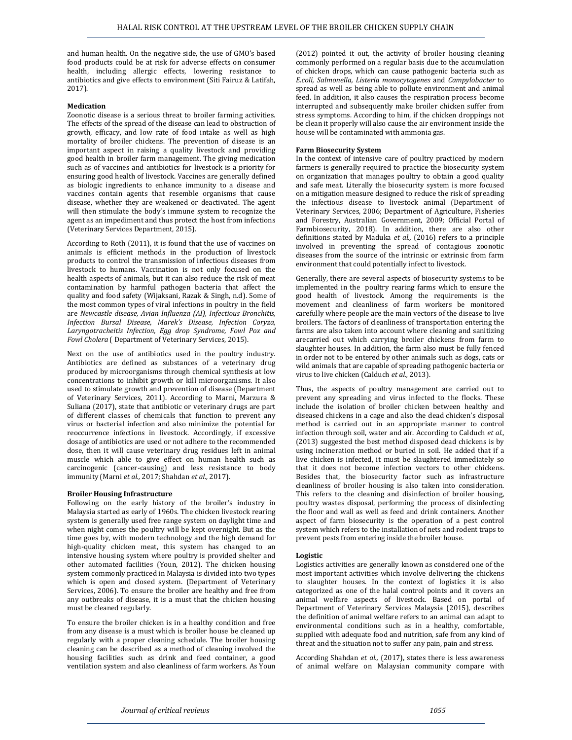and human health. On the negative side, the use of GMO's based food products could be at risk for adverse effects on consumer health, including allergic effects, lowering resistance to antibiotics and give effects to environment (Siti Fairuz & Latifah, 2017).

# **Medication**

Zoonotic disease is a serious threat to broiler farming activities. The effects of the spread of the disease can lead to obstruction of growth, efficacy, and low rate of food intake as well as high mortality of broiler chickens. The prevention of disease is an important aspect in raising a quality livestock and providing good health in broiler farm management. The giving medication such as of vaccines and antibiotics for livestock is a priority for ensuring good health of livestock. Vaccines are generally defined as biologic ingredients to enhance immunity to a disease and vaccines contain agents that resemble organisms that cause disease, whether they are weakened or deactivated. The agent will then stimulate the body's immune system to recognize the agent as an impediment and thus protect the host from infections (Veterinary Services Department, 2015).

According to Roth (2011), it is found that the use of vaccines on animals is efficient methods in the production of livestock products to control the transmission of infectious diseases from livestock to humans. Vaccination is not only focused on the health aspects of animals, but it can also reduce the risk of meat contamination by harmful pathogen bacteria that affect the quality and food safety (Wijaksani, Razak & Singh, n.d). Some of the most common types of viral infections in poultry in the field are *Newcastle disease, Avian Influenza (AI), Infectious Bronchitis, Infection Bursal Disease, Marek's Disease, Infection Coryza, Laryngotracheitis Infection, Egg drop Syndrome, Fowl Pox and Fowl Cholera* ( Department of Veterinary Services, 2015).

Next on the use of antibiotics used in the poultry industry. Antibiotics are defined as substances of a veterinary drug produced by microorganisms through chemical synthesis at low concentrations to inhibit growth or kill microorganisms. It also used to stimulate growth and prevention of disease (Department of Veterinary Services, 2011). According to Marni, Marzura & Suliana (2017), state that antibiotic or veterinary drugs are part of different classes of chemicals that function to prevent any virus or bacterial infection and also minimize the potential for reoccurrence infections in livestock. Accordingly, if excessive dosage of antibiotics are used or not adhere to the recommended dose, then it will cause veterinary drug residues left in animal muscle which able to give effect on human health such as carcinogenic (cancer-causing) and less resistance to body immunity (Marni *et al.,* 2017; Shahdan *et al.,* 2017).

# **Broiler Housing Infrastructure**

Following on the early history of the broiler's industry in Malaysia started as early of 1960s. The chicken livestock rearing system is generally used free range system on daylight time and when night comes the poultry will be kept overnight. But as the time goes by, with modern technology and the high demand for high-quality chicken meat, this system has changed to an intensive housing system where poultry is provided shelter and other automated facilities (Youn, 2012). The chicken housing system commonly practiced in Malaysia is divided into two types which is open and closed system. (Department of Veterinary Services, 2006). To ensure the broiler are healthy and free from any outbreaks of disease, it is a must that the chicken housing must be cleaned regularly.

To ensure the broiler chicken is in a healthy condition and free from any disease is a must which is broiler house be cleaned up regularly with a proper cleaning schedule. The broiler housing cleaning can be described as a method of cleaning involved the housing facilities such as drink and feed container, a good ventilation system and also cleanliness of farm workers. As Youn

(2012) pointed it out, the activity of broiler housing cleaning commonly performed on a regular basis due to the accumulation of chicken drops, which can cause pathogenic bacteria such as *E.coli, Salmonella, Listeria monocytogenes* and *Campylobacter* to spread as well as being able to pollute environment and animal feed. In addition, it also causes the respiration process become interrupted and subsequently make broiler chicken suffer from stress symptoms. According to him, if the chicken droppings not be clean it properly will also cause the air environment inside the house will be contaminated with ammonia gas.

#### **Farm Biosecurity System**

In the context of intensive care of poultry practiced by modern farmers is generally required to practice the biosecurity system on organization that manages poultry to obtain a good quality and safe meat. Literally the biosecurity system is more focused on a mitigation measure designed to reduce the risk of spreading the infectious disease to livestock animal (Department of Veterinary Services, 2006; Department of Agriculture, Fisheries and Forestry, Australian Government, 2009; Official Portal of Farmbiosecurity, 2018). In addition, there are also other definitions stated by Maduka *et al.,* (2016) refers to a principle involved in preventing the spread of contagious zoonotic diseases from the source of the intrinsic or extrinsic from farm environment that could potentially infect to livestock.

Generally, there are several aspects of biosecurity systems to be implemented in the poultry rearing farms which to ensure the good health of livestock. Among the requirements is the movement and cleanliness of farm workers be monitored carefully where people are the main vectors of the disease to live broilers. The factors of cleanliness of transportation entering the farms are also taken into account where cleaning and sanitizing arecarried out which carrying broiler chickens from farm to slaughter houses. In addition, the farm also must be fully fenced in order not to be entered by other animals such as dogs, cats or wild animals that are capable of spreading pathogenic bacteria or virus to live chicken (Calduch *et al.,* 2013).

Thus, the aspects of poultry management are carried out to prevent any spreading and virus infected to the flocks. These include the isolation of broiler chicken between healthy and diseased chickens in a cage and also the dead chicken's disposal method is carried out in an appropriate manner to control infection through soil, water and air. According to Calduch *et al.,* (2013) suggested the best method disposed dead chickens is by using incineration method or buried in soil. He added that if a live chicken is infected, it must be slaughtered immediately so that it does not become infection vectors to other chickens. Besides that, the biosecurity factor such as infrastructure cleanliness of broiler housing is also taken into consideration. This refers to the cleaning and disinfection of broiler housing, poultry wastes disposal, performing the process of disinfecting the floor and wall as well as feed and drink containers. Another aspect of farm biosecurity is the operation of a pest control system which refers to the installation of nets and rodent traps to prevent pests from entering inside the broiler house.

# **Logistic**

Logistics activities are generally known as considered one of the most important activities which involve delivering the chickens to slaughter houses. In the context of logistics it is also categorized as one of the halal control points and it covers an animal welfare aspects of livestock. Based on portal of Department of Veterinary Services Malaysia (2015), describes the definition of animal welfare refers to an animal can adapt to environmental conditions such as in a healthy, comfortable, supplied with adequate food and nutrition, safe from any kind of threat and the situation not to suffer any pain, pain and stress.

According Shahdan *et al.,* (2017), states there is less awareness of animal welfare on Malaysian community compare with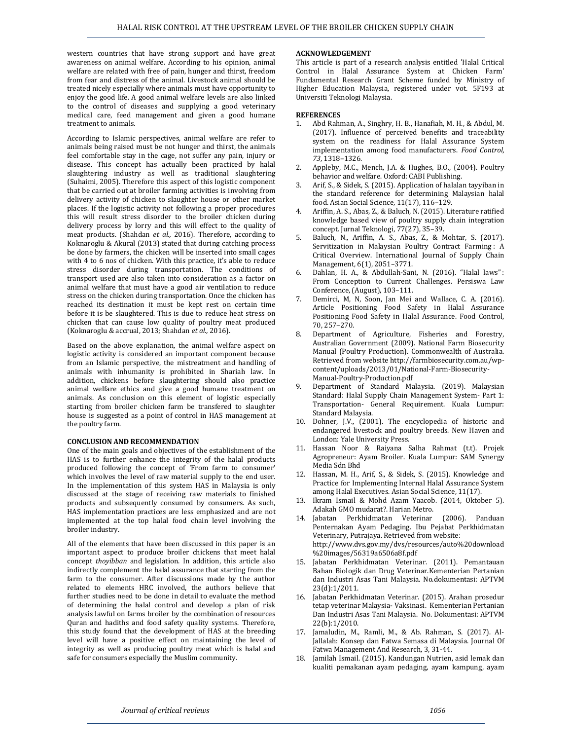western countries that have strong support and have great awareness on animal welfare. According to his opinion, animal welfare are related with free of pain, hunger and thirst, freedom from fear and distress of the animal. Livestock animal should be treated nicely especially where animals must have opportunity to enjoy the good life. A good animal welfare levels are also linked to the control of diseases and supplying a good veterinary medical care, feed management and given a good humane treatment to animals.

According to Islamic perspectives, animal welfare are refer to animals being raised must be not hunger and thirst, the animals feel comfortable stay in the cage, not suffer any pain, injury or disease. This concept has actually been practiced by halal slaughtering industry as well as traditional slaughtering (Suhaimi, 2005). Therefore this aspect of this logistic component that be carried out at broiler farming activities is involving from delivery activity of chicken to slaughter house or other market places. If the logistic activity not following a proper procedures this will result stress disorder to the broiler chicken during delivery process by lorry and this will effect to the quality of meat products. (Shahdan *et al.,* 2016). Therefore, according to Koknaroglu & Akural (2013) stated that during catching process be done by farmers, the chicken will be inserted into small cages with 4 to 6 nos of chicken. With this practice, it's able to reduce stress disorder during transportation. The conditions of transport used are also taken into consideration as a factor on animal welfare that must have a good air ventilation to reduce stress on the chicken during transportation. Once the chicken has reached its destination it must be kept rest on certain time before it is be slaughtered. This is due to reduce heat stress on chicken that can cause low quality of poultry meat produced (Koknaroglu & accrual, 2013; Shahdan *et al.,* 2016).

Based on the above explanation, the animal welfare aspect on logistic activity is considered an important component because from an Islamic perspective, the mistreatment and handling of animals with inhumanity is prohibited in Shariah law. In addition, chickens before slaughtering should also practice animal welfare ethics and give a good humane treatment on animals. As conclusion on this element of logistic especially starting from broiler chicken farm be transfered to slaughter house is suggested as a point of control in HAS management at the poultry farm.

# **CONCLUSION AND RECOMMENDATION**

One of the main goals and objectives of the establishment of the HAS is to further enhance the integrity of the halal products produced following the concept of 'From farm to consumer' which involves the level of raw material supply to the end user. In the implementation of this system HAS in Malaysia is only discussed at the stage of receiving raw materials to finished products and subsequently consumed by consumers. As such, HAS implementation practices are less emphasized and are not implemented at the top halal food chain level involving the broiler industry.

All of the elements that have been discussed in this paper is an important aspect to produce broiler chickens that meet halal concept *thoyibban* and legislation. In addition, this article also indirectly complement the halal assurance that starting from the farm to the consumer. After discussions made by the author related to elements HRC involved, the authors believe that further studies need to be done in detail to evaluate the method of determining the halal control and develop a plan of risk analysis lawful on farms broiler by the combination of resources Quran and hadiths and food safety quality systems. Therefore, this study found that the development of HAS at the breeding level will have a positive effect on maintaining the level of integrity as well as producing poultry meat which is halal and safe for consumers especially the Muslim community.

# **ACKNOWLEDGEMENT**

This article is part of a research analysis entitled 'Halal Critical Control in Halal Assurance System at Chicken Farm' Fundamental Research Grant Scheme funded by Ministry of Higher Education Malaysia, registered under vot. 5F193 at Universiti Teknologi Malaysia.

# **REFERENCES**

- 1. Abd Rahman, A., Singhry, H. B., Hanafiah, M. H., & Abdul, M. (2017). Influence of perceived benefits and traceability system on the readiness for Halal Assurance System implementation among food manufacturers. *Food Control, 73*, 1318–1326.
- 2. Appleby, M.C., Mench, J.A. & Hughes, B.O., (2004). Poultry behavior and welfare. Oxford: CABI Publishing.
- Arif, S., & Sidek, S. (2015). Application of halalan tayyiban in the standard reference for determining Malaysian halal food. Asian Social Science, 11(17), 116–129.
- 4. Ariffin, A. S., Abas, Z., & Baluch, N. (2015). Literature ratified knowledge based view of poultry supply chain integration concept. Jurnal Teknologi, 77(27), 35–39.
- 5. Baluch, N., Ariffin, A. S., Abas, Z., & Mohtar, S. (2017). Servitization in Malaysian Poultry Contract Farming: A Critical Overview. International Journal of Supply Chain Management, 6(1), 2051–3771.
- 6. Dahlan, H. A., & Abdullah-Sani, N. (2016). "Halal laws" : From Conception to Current Challenges. Persiswa Law Conference, (August), 103–111.
- 7. Demirci, M, N, Soon, Jan Mei and Wallace, C. A. (2016). Article Positioning Food Safety in Halal Assurance Positioning Food Safety in Halal Assurance. Food Control, 70, 257–270.
- 8. Department of Agriculture, Fisheries and Forestry, Australian Government (2009). National Farm Biosecurity Manual (Poultry Production). Commonwealth of Australia. Retrieved from website [http://farmbiosecurity.com.au/wp](http://farmbiosecurity.com.au/wp-content/uploads/2013/01/National-Farm-Biosecurity-Manual-Poultry-Production.pdf)[content/uploads/2013/01/National-Farm-Biosecurity-](http://farmbiosecurity.com.au/wp-content/uploads/2013/01/National-Farm-Biosecurity-Manual-Poultry-Production.pdf)[Manual-Poultry-Production.pdf](http://farmbiosecurity.com.au/wp-content/uploads/2013/01/National-Farm-Biosecurity-Manual-Poultry-Production.pdf)
- 9. Department of Standard Malaysia. (2019). Malaysian Standard: Halal Supply Chain Management System- Part 1: Transportation- General Requirement. Kuala Lumpur: Standard Malaysia.
- 10. Dohner, J.V., (2001). The encyclopedia of historic and endangered livestock and poultry breeds. New Haven and London: Yale University Press.
- 11. Hassan Noor & Raiyana Salha Rahmat (t.t). Projek Agropreneur: Ayam Broiler. Kuala Lumpur: SAM Synergy Media Sdn Bhd
- 12. Hassan, M. H., Arif, S., & Sidek, S. (2015). Knowledge and Practice for Implementing Internal Halal Assurance System among Halal Executives. Asian Social Science, 11(17).
- 13. Ikram Ismail & Mohd Azam Yaacob. (2014, Oktober 5). Adakah GMO mudarat?. Harian Metro.
- 14. Jabatan Perkhidmatan Veterinar (2006). Panduan Penternakan Ayam Pedaging. Ibu Pejabat Perkhidmatan Veterinary, Putrajaya. Retrieved from website: http://www.dvs.gov.my/dvs/resources/auto%20download %20images/56319a6506a8f.pdf
- 15. Jabatan Perkhidmatan Veterinar. (2011). Pemantauan Bahan Biologik dan Drug Veterinar.Kementerian Pertanian dan Industri Asas Tani Malaysia. No.dokumentasi: APTVM 23(d):1/2011.
- 16. Jabatan Perkhidmatan Veterinar. (2015). Arahan prosedur tetap veterinar Malaysia- Vaksinasi. Kementerian Pertanian Dan Industri Asas Tani Malaysia. No. Dokumentasi: APTVM 22(b):1/2010.
- 17. Jamaludin, M., Ramli, M., & Ab. Rahman, S. (2017). Al-Jallalah: Konsep dan Fatwa Semasa di Malaysia. Journal Of Fatwa Management And Research, 3, 31-44.
- 18. Jamilah Ismail. (2015). Kandungan Nutrien, asid lemak dan kualiti pemakanan ayam pedaging, ayam kampung, ayam